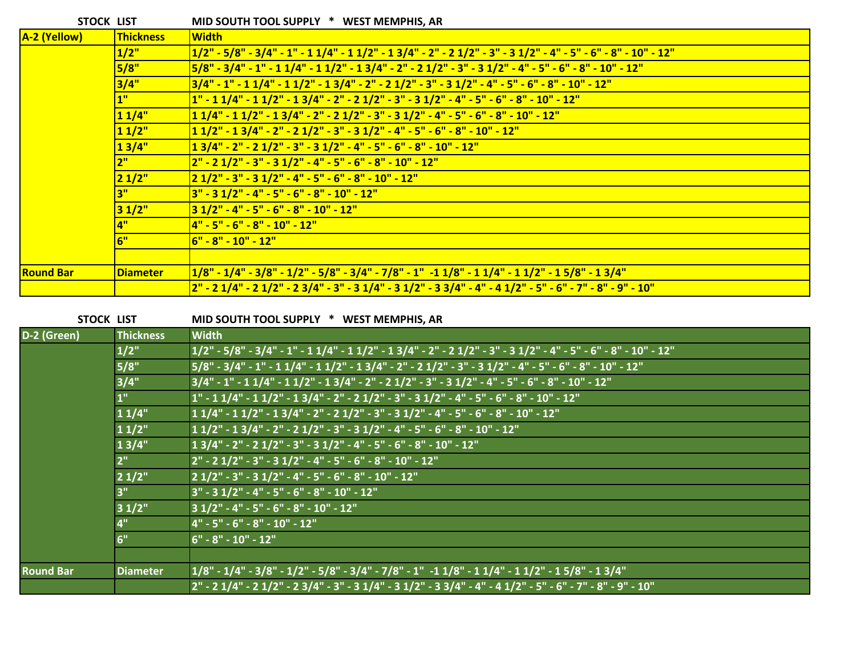|                  | STOCK LIST       | MID SOUTH TOOL SUPPLY * WEST MEMPHIS, AR                                                                                         |
|------------------|------------------|----------------------------------------------------------------------------------------------------------------------------------|
| A-2 (Yellow)     | <b>Thickness</b> | <b>Width</b>                                                                                                                     |
|                  | 1/2"             | $1/2$ " - 5/8" - 3/4" - 1" - 1 $1/4$ " - 1 $1/2$ " - 1 $3/4$ " - 2" - 2 $1/2$ " - 3" - 3 $1/2$ " - 4" - 5" - 6" - 8" - 10" - 12" |
|                  | 5/8"             | 5/8" - 3/4" - 1" - 1 1/4" - 1 1/2" - 1 3/4" - 2" - 2 1/2" - 3" - 3 1/2" - 4" - 5" - 6" - 8" - 10" - 12"                          |
|                  | 3/4"             | $3/4"$ - 1" - 1 $1/4"$ - 1 $1/2"$ - 1 $3/4"$ - 2" - 2 $1/2"$ - 3" - 3 $1/2"$ - 4" - 5" - 6" - 8" - 10" - 12"                     |
|                  | 1 <sup>0</sup>   | 1" - 1 1/4" - 1 1/2" - 1 3/4" - 2" - 2 1/2" - 3" - 3 1/2" - 4" - 5" - 6" - 8" - 10" - 12"                                        |
|                  | 11/4"            | 1 1/4" - 1 1/2" - 1 3/4" - 2" - 2 1/2" - 3" - 3 1/2" - 4" - 5" - 6" - 8" - 10" - 12"                                             |
|                  | 11/2"            | 1 1/2" - 1 3/4" - 2" - 2 1/2" - 3" - 3 1/2" - 4" - 5" - 6" - 8" - 10" - 12"                                                      |
|                  | 13/4"            | 1 3/4" - 2" - 2 1/2" - 3" - 3 1/2" - 4" - 5" - 6" - 8" - 10" - 12"                                                               |
|                  | 2"               | 2" - 2 1/2" - 3" - 3 1/2" - 4" - 5" - 6" - 8" - 10" - 12"                                                                        |
|                  | 21/2"            | 2 1/2" - 3" - 3 1/2" - 4" - 5" - 6" - 8" - 10" - 12"                                                                             |
|                  | 3"               | 3" - 3 1/2" - 4" - 5" - 6" - 8" - 10" - 12"                                                                                      |
|                  | 31/2"            | 3 1/2" - 4" - 5" - 6" - 8" - 10" - 12"                                                                                           |
|                  | 4"               | 4" - 5" - 6" - 8" - 10" - 12"                                                                                                    |
|                  | 6"               | $6" - 8" - 10" - 12"$                                                                                                            |
|                  |                  |                                                                                                                                  |
| <b>Round Bar</b> | <b>Diameter</b>  | $1/8$ " - 1/4" - 3/8" - 1/2" - 5/8" - 3/4" - 7/8" - 1" -1 1/8" - 1 1/4" - 1 1/2" - 1 5/8" - 1 3/4"                               |
|                  |                  | 2" - 2 1/4" - 2 1/2" - 2 3/4" - 3" - 3 1/4" - 3 1/2" - 3 3/4" - 4" - 4 1/2" - 5" - 6" - 7" - 8" - 9" - 10"                       |

**STOCK LIST MID SOUTH TOOL SUPPLY \* WEST MEMPHIS, AR** 

| D-2 (Green)      | <b>Thickness</b> | <b>Width</b>                                                                                                                           |
|------------------|------------------|----------------------------------------------------------------------------------------------------------------------------------------|
|                  | 1/2"             | $1/2" - 5/8" - 3/4" - 1" - 11/4" - 11/2" - 13/4" - 2" - 21/2" - 3" - 31/2" - 4" - 5" - 6" - 8" - 10" - 12"$                            |
|                  | 5/8"             | $5/8" - 3/4" - 1" - 11/4" - 11/2" - 13/4" - 2" - 21/2" - 3" - 31/2" - 4" - 5" - 6" - 8" - 10" - 12"$                                   |
|                  | 3/4"             | $3/4" - 1" - 11/4" - 11/2" - 13/4" - 2" - 21/2" - 3" - 31/2" - 4" - 5" - 6" - 8" - 10" - 12"$                                          |
|                  | 1 <sup>0</sup>   | $1" - 11/4" - 11/2" - 13/4" - 2" - 21/2" - 3" - 31/2" - 4" - 5" - 6" - 8" - 10" - 12"$                                                 |
|                  | 11/4"            | $11/4$ " - $11/2$ " - $13/4$ " - $2$ " - $21/2$ " - $3$ " - $31/2$ " - $4$ " - $5$ " - $6$ " - $8$ " - $10$ " - $12$ "                 |
|                  | 11/2"            | 1 1/2" - 1 3/4" - 2" - 2 1/2" - 3" - 3 1/2" - 4" - 5" - 6" - 8" - 10" - 12"                                                            |
|                  | 13/4"            | 1 3/4" - 2" - 2 1/2" - 3" - 3 1/2" - 4" - 5" - 6" - 8" - 10" - 12"                                                                     |
|                  | 2 <sup>0</sup>   | 2" - 2 1/2" - 3" - 3 1/2" - 4" - 5" - 6" - 8" - 10" - 12"                                                                              |
|                  | 21/2"            | 2 1/2" - 3" - 3 1/2" - 4" - 5" - 6" - 8" - 10" - 12"                                                                                   |
|                  | 3"               | $3" - 31/2" - 4" - 5" - 6" - 8" - 10" - 12"$                                                                                           |
|                  | 31/2"            | 3 1/2" - 4" - 5" - 6" - 8" - 10" - 12"                                                                                                 |
|                  | 4"               | 4" - 5" - 6" - 8" - 10" - 12"                                                                                                          |
|                  | 6"               | $6" - 8" - 10" - 12"$                                                                                                                  |
|                  |                  |                                                                                                                                        |
| <b>Round Bar</b> | <b>Diameter</b>  | $1/8$ " - $1/4$ " - $3/8$ " - $1/2$ " - $5/8$ " - $3/4$ " - $7/8$ " - $1$ " -1 $1/8$ " - $1 1/4$ " - $1 1/2$ " - $1 5/8$ " - $1 3/4$ " |
|                  |                  | 2" - 2 1/4" - 2 1/2" - 2 3/4" - 3" - 3 1/4" - 3 1/2" - 3 3/4" - 4" - 4 1/2" - 5" - 6" - 7" - 8" - 9" - 10"                             |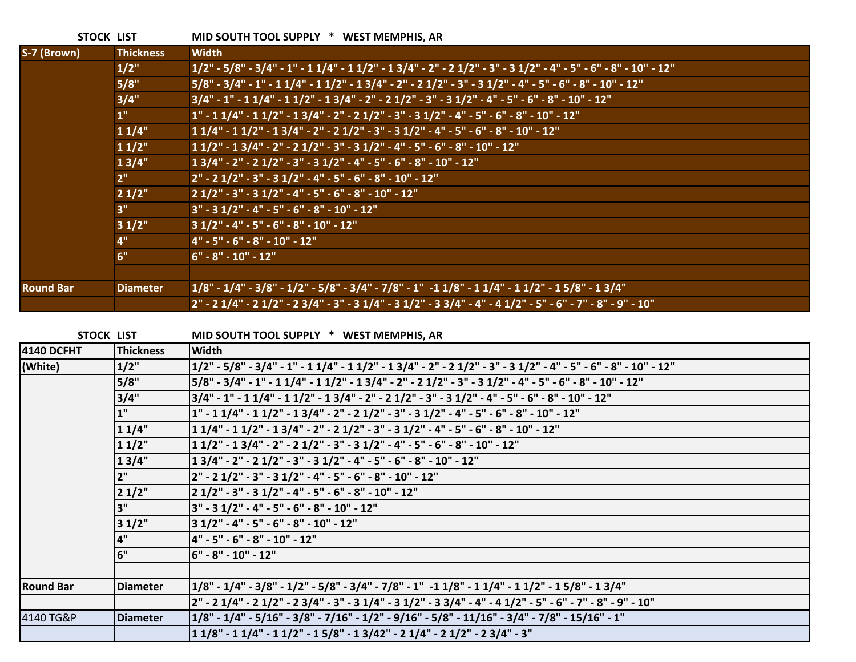|                   | $1/8$ " - $1/4$ " - $3/8$ " - $1/2$ " - $5/8$ " - $3/4$ " - $7/8$ " - $1$ " -1 $1/8$ " - $1 1/4$ " - $1 1/2$ " - $1 5/8$ " - $1 3/4$ " |
|-------------------|----------------------------------------------------------------------------------------------------------------------------------------|
|                   | 2" - 2 1/4" - 2 1/2" - 2 3/4" - 3" - 3 1/4" - 3 1/2" - 3 3/4" - 4" - 4 1/2" - 5" - 6" - 7" - 8" - 9" - 10"                             |
|                   |                                                                                                                                        |
| <b>STOCK LIST</b> | MID SOUTH TOOL SUPPLY * WEST MEMPHIS, AR                                                                                               |
| Thickness         | <b>Width</b>                                                                                                                           |
| 1/2"              | 1/2" - 5/8" - 3/4" - 1" - 1 1/4" - 1 1/2" - 1 3/4" - 2" - 2 1/2" - 3" - 3 1/2" - 4" - 5" - 6" - 8" - 10" - 12"                         |
| 5/8"              | 5/8" - 3/4" - 1" - 1 1/4" - 1 1/2" - 1 3/4" - 2" - 2 1/2" - 3" - 3 1/2" - 4" - 5" - 6" - 8" - 10" - 12"                                |
|                   | 3/4" - 1" - 1 1/4" - 1 1/2" - 1 3/4" - 2" - 2 1/2" - 3" - 3 1/2" - 4" - 5" - 6" - 8" - 10" - 12"                                       |
| 1"                | 1" - 1 1/4" - 1 1/2" - 1 3/4" - 2" - 2 1/2" - 3" - 3 1/2" - 4" - 5" - 6" - 8" - 10" - 12"                                              |
| 11/4"             | 1 1/4" - 1 1/2" - 1 3/4" - 2" - 2 1/2" - 3" - 3 1/2" - 4" - 5" - 6" - 8" - 10" - 12"                                                   |
| 11/2"             | 1 1/2" - 1 3/4" - 2" - 2 1/2" - 3" - 3 1/2" - 4" - 5" - 6" - 8" - 10" - 12"                                                            |
| 13/4"             | 1 3/4" - 2" - 2 1/2" - 3" - 3 1/2" - 4" - 5" - 6" - 8" - 10" - 12"                                                                     |
| 2"                | 2" - 2 1/2" - 3" - 3 1/2" - 4" - 5" - 6" - 8" - 10" - 12"                                                                              |
| 21/2"             | 2 1/2" - 3" - 3 1/2" - 4" - 5" - 6" - 8" - 10" - 12"                                                                                   |
| 3"                | 3" - 3 1/2" - 4" - 5" - 6" - 8" - 10" - 12"                                                                                            |
| 31/2"             | 3 $1/2$ " - 4" - 5" - 6" - 8" - 10" - 12"                                                                                              |
| 4"                | 4" - 5" - 6" - 8" - 10" - 12"                                                                                                          |
| 6"                | $6" - 8" - 10" - 12"$                                                                                                                  |
|                   |                                                                                                                                        |
| Diameter          | 1/8" - 1/4" - 3/8" - 1/2" - 5/8" - 3/4" - 7/8" - 1" -1 1/8" - 1 1/4" - 1 1/2" - 1 5/8" - 1 3/4"                                        |
|                   | 2" - 2 1/4" - 2 1/2" - 2 3/4" - 3" - 3 1/4" - 3 1/2" - 3 3/4" - 4" - 4 1/2" - 5" - 6" - 7" - 8" - 9" - 10"                             |
| <b>Diameter</b>   | 1/8" - 1/4" - 5/16" - 3/8" - 7/16" - 1/2" - 9/16" - 5/8" - 11/16" - 3/4" - 7/8" - 15/16" - 1"                                          |
|                   | 1 1/8" - 1 1/4" - 1 1/2" - 1 5/8" - 1 3/42" - 2 1/4" - 2 1/2" - 2 3/4" - 3"                                                            |
|                   | Diameter<br>3/4"                                                                                                                       |

| S-7 (Brown)      | <b>Thickness</b> | <b>Width</b>                                                                                                                           |
|------------------|------------------|----------------------------------------------------------------------------------------------------------------------------------------|
|                  | $1/2$ "          | $1/2$ " - 5/8" - 3/4" - 1" - 1 $1/4$ " - 1 $1/2$ " - 1 $3/4$ " - 2" - 2 $1/2$ " - 3" - 3 $1/2$ " - 4" - 5" - 6" - 8" - 10" - 12"       |
|                  | 5/8"             | $5/8$ " - 3/4" - 1" - 1 $1/4$ " - 1 $1/2$ " - 1 $3/4$ " - 2" - 2 $1/2$ " - 3" - 3 $1/2$ " - 4" - 5" - 6" - 8" - 10" - 12"              |
|                  | 3/4"             | $3/4" - 1" - 11/4" - 11/2" - 13/4" - 2" - 21/2" - 3" - 31/2" - 4" - 5" - 6" - 8" - 10" - 12"$                                          |
|                  | $1$ "            | $1" - 11/4" - 11/2" - 13/4" - 2" - 21/2" - 3" - 31/2" - 4" - 5" - 6" - 8" - 10" - 12"$                                                 |
|                  | 11/4"            | $11/4" - 11/2" - 13/4" - 2" - 21/2" - 3" - 31/2" - 4" - 5" - 6" - 8" - 10" - 12"$                                                      |
|                  | 11/2"            | $11/2$ " - $13/4$ " - $2$ " - $21/2$ " - $3$ " - $31/2$ " - $4$ " - $5$ " - $6$ " - $8$ " - $10$ " - $12$ "                            |
|                  | 13/4"            | 1 3/4" - 2" - 2 1/2" - 3" - 3 1/2" - 4" - 5" - 6" - 8" - 10" - 12"                                                                     |
|                  | 2 <sup>0</sup>   | $2" - 21/2" - 3" - 31/2" - 4" - 5" - 6" - 8" - 10" - 12"$                                                                              |
|                  | 21/2"            | 2 1/2" - 3" - 3 1/2" - 4" - 5" - 6" - 8" - 10" - 12"                                                                                   |
|                  | 3"               | $3" - 31/2" - 4" - 5" - 6" - 8" - 10" - 12"$                                                                                           |
|                  | 31/2"            | $31/2" - 4" - 5" - 6" - 8" - 10" - 12"$                                                                                                |
|                  | 4"               | $4" - 5" - 6" - 8" - 10" - 12"$                                                                                                        |
|                  | 6"               | $6" - 8" - 10" - 12"$                                                                                                                  |
|                  |                  |                                                                                                                                        |
| <b>Round Bar</b> | <b>Diameter</b>  | $1/8$ " - $1/4$ " - $3/8$ " - $1/2$ " - $5/8$ " - $3/4$ " - $7/8$ " - $1$ " -1 $1/8$ " - $1 1/4$ " - $1 1/2$ " - $1 5/8$ " - $1 3/4$ " |

**STOCK LIST MID SOUTH TOOL SUPPLY \* WEST MEMPHIS, AR**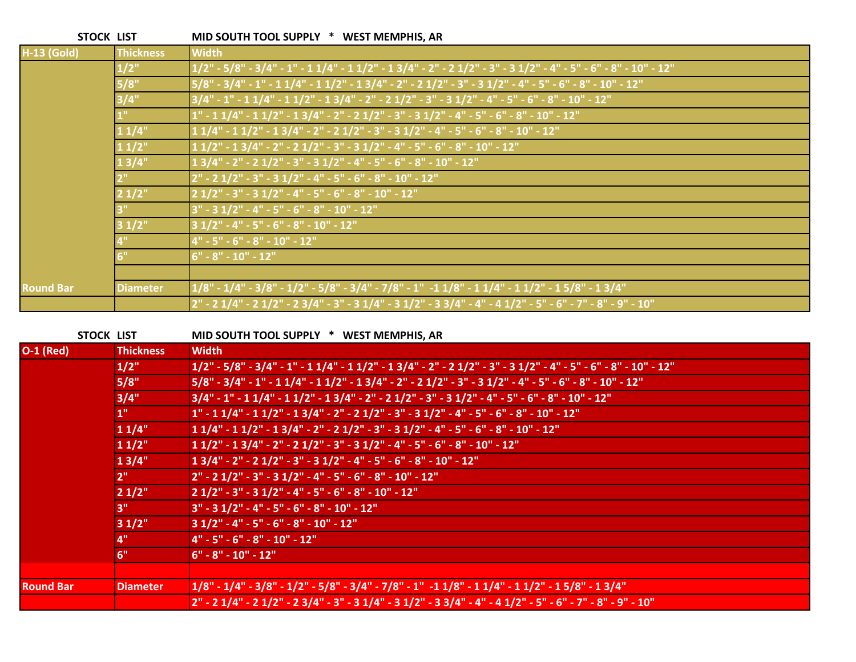|                    | <b>STOCK LIST</b> | MID SOUTH TOOL SUPPLY * WEST MEMPHIS, AR                                                                    |
|--------------------|-------------------|-------------------------------------------------------------------------------------------------------------|
| <b>H-13 (Gold)</b> | <b>Thickness</b>  | <b>Width</b>                                                                                                |
|                    | 1/2"              | $1/2" - 5/8" - 3/4" - 1" - 11/4" - 11/2" - 13/4" - 2" - 21/2" - 3" - 31/2" - 4" - 5" - 6" - 8" - 10" - 12"$ |
|                    | 5/8"              | 5/8" - 3/4" - 1" - 1 1/4" - 1 1/2" - 1 3/4" - 2" - 2 1/2" - 3" - 3 1/2" - 4" - 5" - 6" - 8" - 10" - 12"     |
|                    | 3/4"              | $3/4" - 1" - 11/4" - 11/2" - 13/4" - 2" - 21/2" - 3" - 31/2" - 4" - 5" - 6" - 8" - 10" - 12"$               |
|                    | 1 !!              | $1" - 11/4" - 11/2" - 13/4" - 2" - 21/2" - 3" - 31/2" - 4" - 5" - 6" - 8" - 10" - 12"$                      |
|                    | 11/4"             | $11/4" - 11/2" - 13/4" - 2" - 21/2" - 3" - 31/2" - 4" - 5" - 6" - 8" - 10" - 12"$                           |
|                    | $11/2$ "          | $11/2" - 13/4" - 2" - 21/2" - 3" - 31/2" - 4" - 5" - 6" - 8" - 10" - 12"$                                   |
|                    | 13/4"             | $13/4" - 2" - 21/2" - 3" - 31/2" - 4" - 5" - 6" - 8" - 10" - 12"$                                           |
|                    |                   | $2" - 21/2" - 3" - 31/2" - 4" - 5" - 6" - 8" - 10" - 12"$                                                   |
|                    | 21/2"             | 2 1/2" - 3" - 3 1/2" - 4" - 5" - 6" - 8" - 10" - 12"                                                        |
|                    |                   | $3" - 31/2" - 4" - 5" - 6" - 8" - 10" - 12"$                                                                |
|                    | 31/2"             | $31/2" - 4" - 5" - 6" - 8" - 10" - 12"$                                                                     |
|                    |                   | 4" - 5" - 6" - 8" - 10" - 12"                                                                               |
|                    | ፍ"                | $6" - 8" - 10" - 12"$                                                                                       |
|                    |                   |                                                                                                             |
| <b>Round Bar</b>   | <b>Diameter</b>   | $1/8" - 1/4" - 3/8" - 1/2" - 5/8" - 3/4" - 7/8" - 1" - 11/8" - 11/4" - 11/2" - 15/8" - 13/4"$               |
|                    |                   | $2" - 21/4" - 21/2" - 23/4" - 3" - 31/4" - 31/2" - 33/4" - 4" - 41/2" - 5" - 6" - 7" - 8" - 9" - 10"$       |

**STOCK LIST MID SOUTH TOOL SUPPLY \* WEST MEMPHIS, AR** 

| $O-1$ (Red)      | <b>Thickness</b> | <b>Width</b>                                                                                                                       |
|------------------|------------------|------------------------------------------------------------------------------------------------------------------------------------|
|                  | $1/2$ "          | $1/2$ " - 5/8" - 3/4" - 1" - 1 1/4" - 1 1/2" - 1 3/4" - 2" - 2 1/2" - 3" - 3 1/2" - 4" - 5" - 6" - 8" - 10" - 12"                  |
|                  | 5/8"             | $5/8$ " - 3/4" - 1" - 1 1/4" - 1 1/2" - 1 3/4" - 2" - 2 1/2" - 3" - 3 1/2" - 4" <u>- 5" - 6" - 8" - 10" - 12"</u>                  |
|                  | 3/4"             | $3/4" - 1" - 11/4" - 11/2" - 13/4" - 2" - 21/2" - 3" - 31/2" - 4" - 5" - 6" - 8" - 10" - 12"$                                      |
|                  | $1$ "            | $1" - 11/4" - 11/2" - 13/4" - 2" - 21/2" - 3" - 31/2" - 4" - 5" - 6" - 8" - 10" - 12"$                                             |
|                  | 11/4"            | $11/4" - 11/2" - 13/4" - 2" - 21/2" - 3" - 31/2" - 4" - 5" - 6" - 8" - 10" - 12"$                                                  |
|                  | 11/2"            | $11/2" - 13/4" - 2" - 21/2" - 3" - 31/2" - 4" - 5" - 6" - 8" - 10" - 12"$                                                          |
|                  | 13/4"            | $13/4" - 2" - 21/2" - 3" - 31/2" - 4" - 5" - 6" - 8" - 10" - 12"$                                                                  |
|                  | 2"               | $2" - 21/2" - 3" - 31/2" - 4" - 5" - 6" - 8" - 10" - 12"$                                                                          |
|                  | 21/2"            | $21/2" - 3" - 31/2" - 4" - 5" - 6" - 8" - 10" - 12"$                                                                               |
|                  | $3^{\mathrm{u}}$ | $3" - 31/2" - 4" - 5" - 6" - 8" - 10" - 12"$                                                                                       |
|                  | 31/2"            | $31/2" - 4" - 5" - 6" - 8" - 10" - 12"$                                                                                            |
|                  | 4"               | $4" - 5" - 6" - 8" - 10" - 12"$                                                                                                    |
|                  | 6"               | $6" - 8" - 10" - 12"$                                                                                                              |
|                  |                  |                                                                                                                                    |
| <b>Round Bar</b> | Diameter         | $1/8$ " - $1/4$ " - $3/8$ " - $1/2$ " - $5/8$ " - $3/4$ " - $7/8$ " - $1$ " -1 $1/8$ " - $1/4$ " - $1/2$ " - $1/5/8$ " - $1/3/4$ " |
|                  |                  | $2" - 21/4" - 21/2" - 23/4" - 3" - 31/4" - 31/2" - 33/4" - 4" - 41/2" - 5" - 6" - 7" - 8" - 9" - 10"$                              |